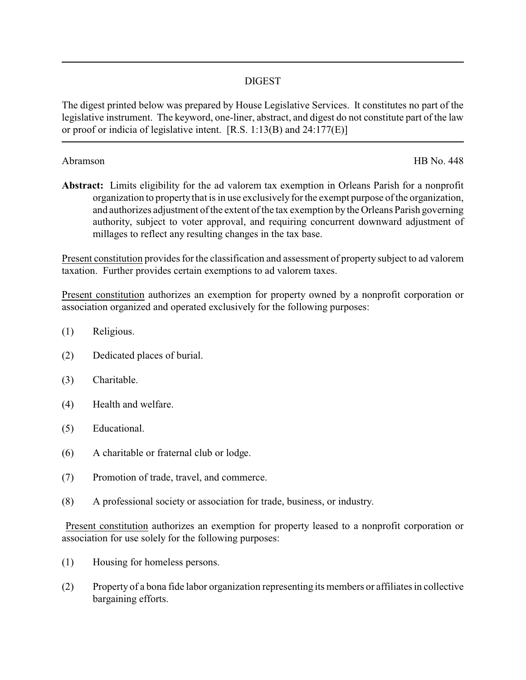## DIGEST

The digest printed below was prepared by House Legislative Services. It constitutes no part of the legislative instrument. The keyword, one-liner, abstract, and digest do not constitute part of the law or proof or indicia of legislative intent. [R.S. 1:13(B) and 24:177(E)]

Abramson HB No. 448

**Abstract:** Limits eligibility for the ad valorem tax exemption in Orleans Parish for a nonprofit organization to property that is in use exclusively for the exempt purpose of the organization, and authorizes adjustment of the extent of the tax exemption by the Orleans Parish governing authority, subject to voter approval, and requiring concurrent downward adjustment of millages to reflect any resulting changes in the tax base.

Present constitution provides for the classification and assessment of property subject to ad valorem taxation. Further provides certain exemptions to ad valorem taxes.

Present constitution authorizes an exemption for property owned by a nonprofit corporation or association organized and operated exclusively for the following purposes:

- (1) Religious.
- (2) Dedicated places of burial.
- (3) Charitable.
- (4) Health and welfare.
- (5) Educational.
- (6) A charitable or fraternal club or lodge.
- (7) Promotion of trade, travel, and commerce.
- (8) A professional society or association for trade, business, or industry.

Present constitution authorizes an exemption for property leased to a nonprofit corporation or association for use solely for the following purposes:

- (1) Housing for homeless persons.
- (2) Property of a bona fide labor organization representing its members or affiliates in collective bargaining efforts.